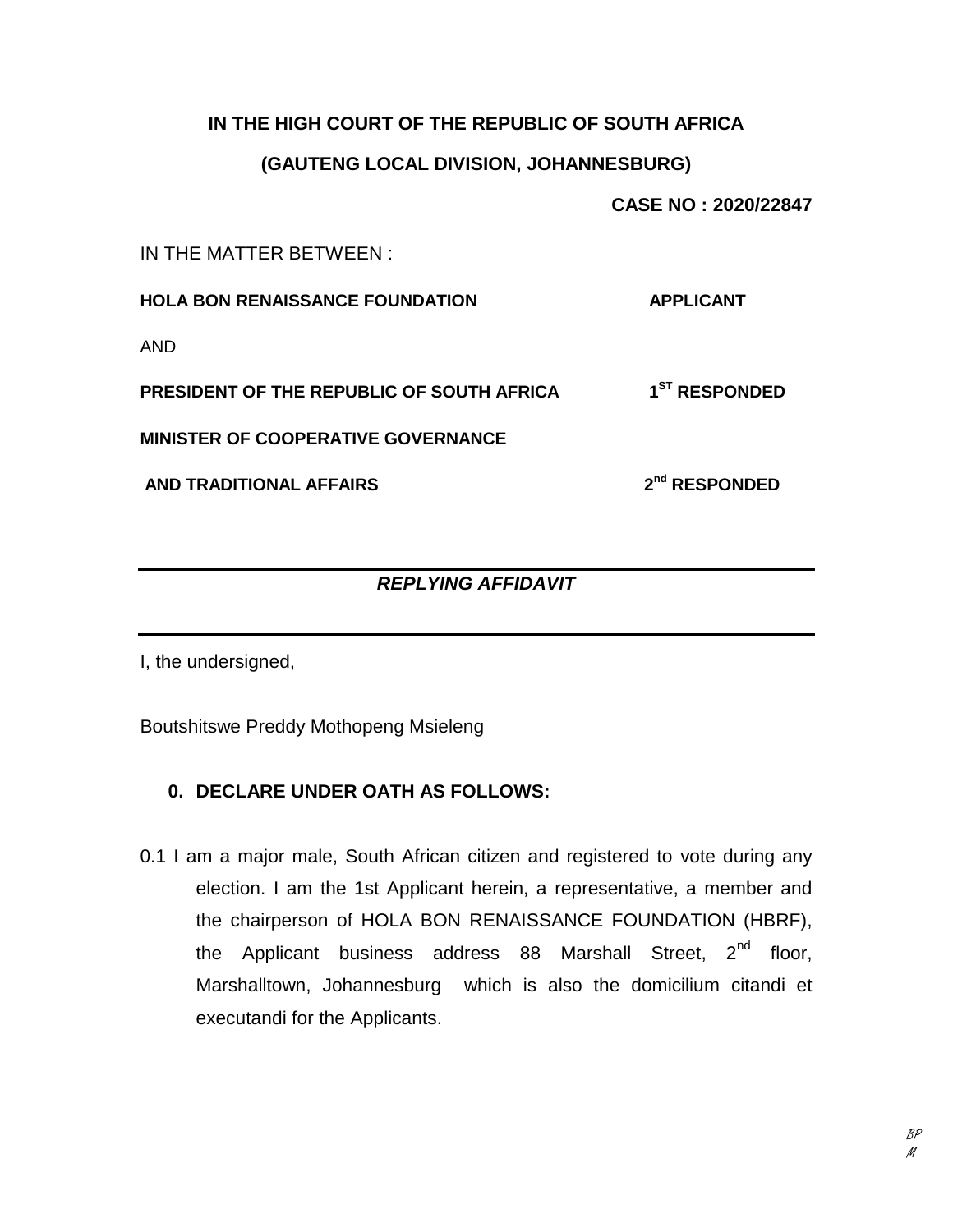### **IN THE HIGH COURT OF THE REPUBLIC OF SOUTH AFRICA**

### **(GAUTENG LOCAL DIVISION, JOHANNESBURG)**

**CASE NO : 2020/22847**

**nd RESPONDED**

IN THE MATTER BETWEEN :

**HOLA BON RENAISSANCE FOUNDATION APPLICANT**

AND

**PRESIDENT OF THE REPUBLIC OF SOUTH AFRICA 1 ST RESPONDED**

**MINISTER OF COOPERATIVE GOVERNANCE**

**AND TRADITIONAL AFFAIRS 2**

# *REPLYING AFFIDAVIT*

I, the undersigned,

Boutshitswe Preddy Mothopeng Msieleng

# **0. DECLARE UNDER OATH AS FOLLOWS:**

0.1 I am a major male, South African citizen and registered to vote during any election. I am the 1st Applicant herein, a representative, a member and the chairperson of HOLA BON RENAISSANCE FOUNDATION (HBRF), the Applicant business address  $88$  Marshall Street,  $2^{nd}$  floor, Marshalltown, Johannesburg which is also the domicilium citandi et executandi for the Applicants.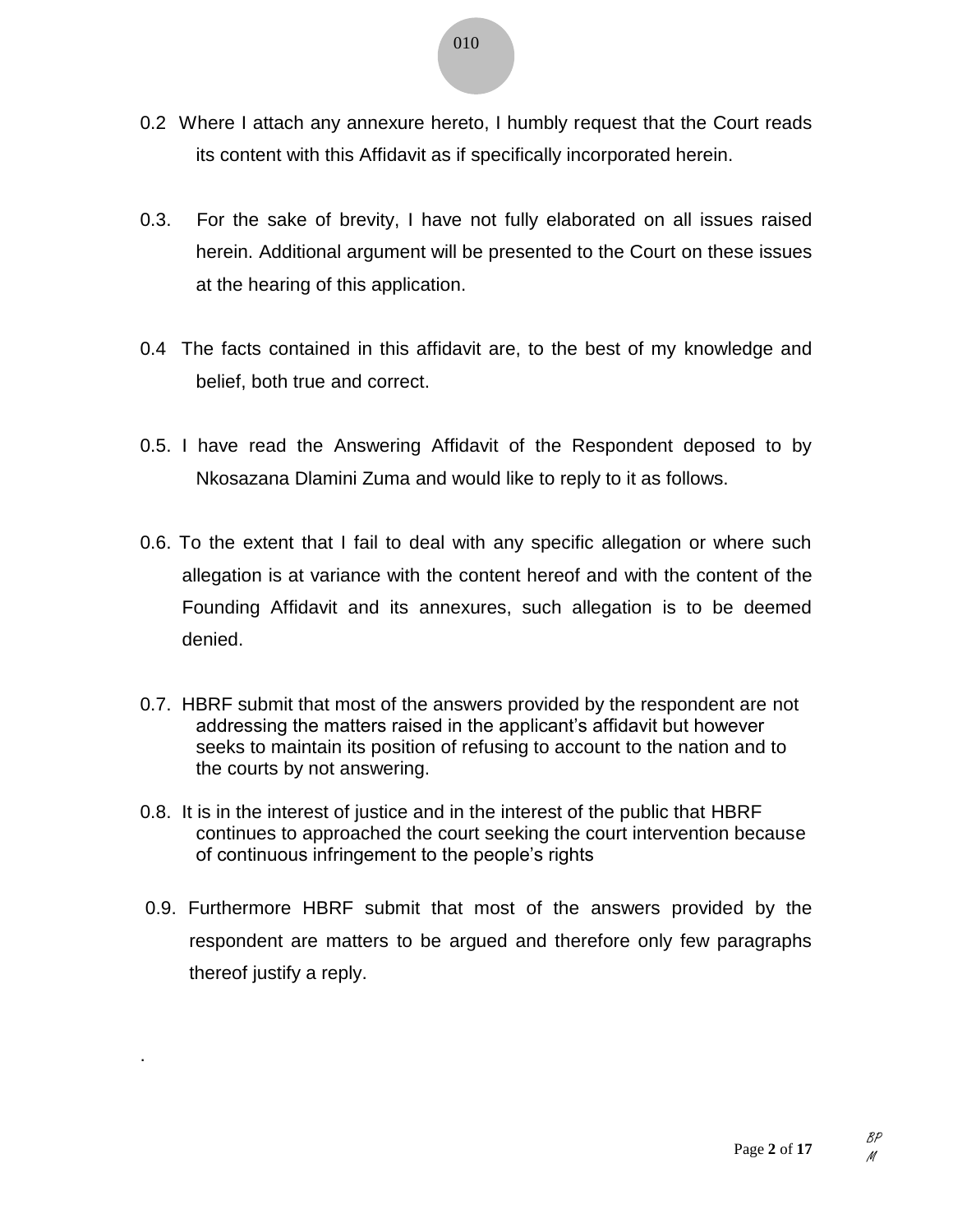- 0.2 Where I attach any annexure hereto, I humbly request that the Court reads its content with this Affidavit as if specifically incorporated herein.
- 0.3. For the sake of brevity, I have not fully elaborated on all issues raised herein. Additional argument will be presented to the Court on these issues at the hearing of this application.
- 0.4 The facts contained in this affidavit are, to the best of my knowledge and belief, both true and correct.
- 0.5. I have read the Answering Affidavit of the Respondent deposed to by Nkosazana Dlamini Zuma and would like to reply to it as follows.
- 0.6. To the extent that I fail to deal with any specific allegation or where such allegation is at variance with the content hereof and with the content of the Founding Affidavit and its annexures, such allegation is to be deemed denied.
- 0.7. HBRF submit that most of the answers provided by the respondent are not addressing the matters raised in the applicant's affidavit but however seeks to maintain its position of refusing to account to the nation and to the courts by not answering.
- 0.8. It is in the interest of justice and in the interest of the public that HBRF continues to approached the court seeking the court intervention because of continuous infringement to the people's rights
- 0.9. Furthermore HBRF submit that most of the answers provided by the respondent are matters to be argued and therefore only few paragraphs thereof justify a reply.

.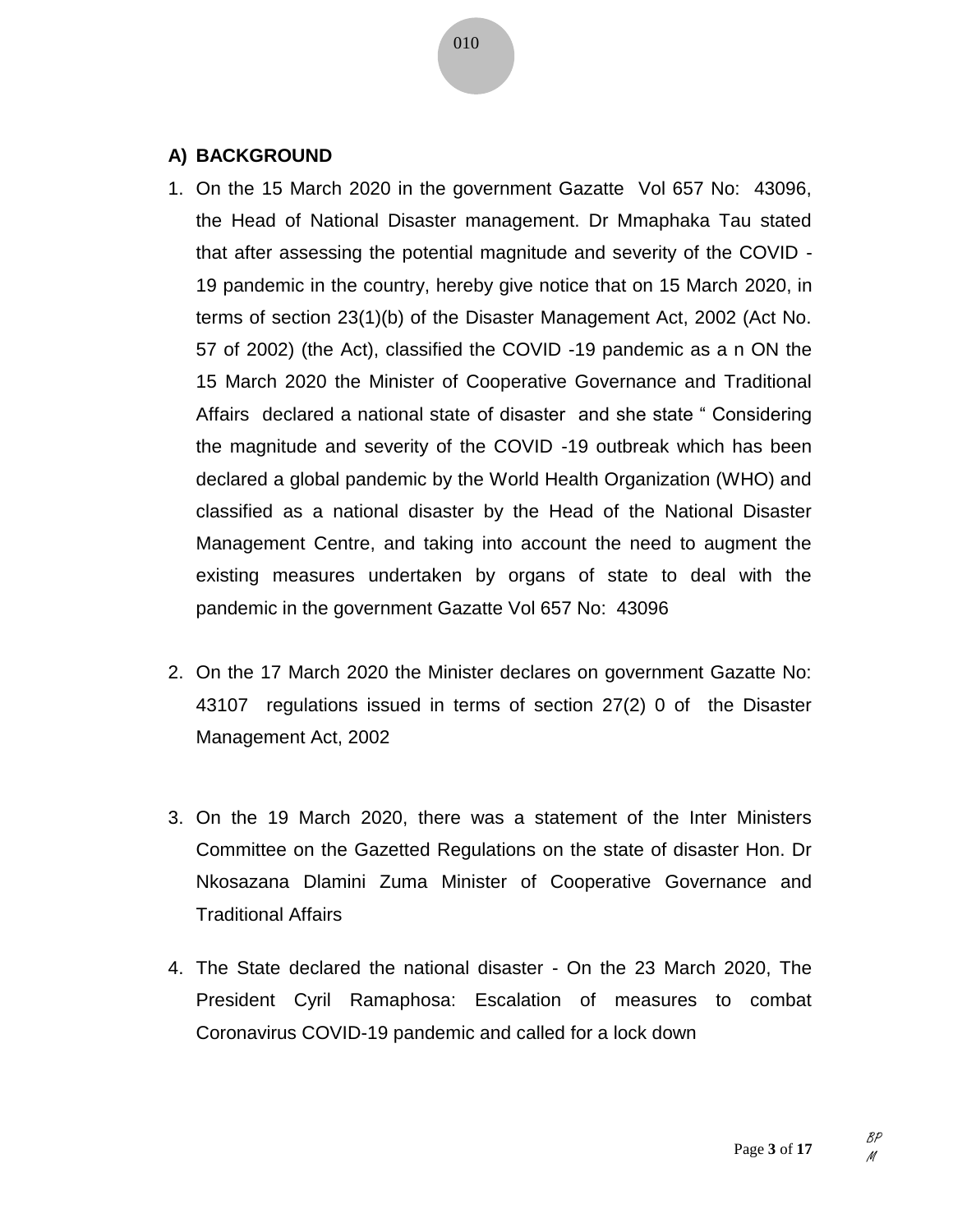#### **A) BACKGROUND**

- 1. On the 15 March 2020 in the government Gazatte Vol 657 No: 43096, the Head of National Disaster management. Dr Mmaphaka Tau stated that after assessing the potential magnitude and severity of the COVID - 19 pandemic in the country, hereby give notice that on 15 March 2020, in terms of section 23(1)(b) of the Disaster Management Act, 2002 (Act No. 57 of 2002) (the Act), classified the COVID -19 pandemic as a n ON the 15 March 2020 the Minister of Cooperative Governance and Traditional Affairs declared a national state of disaster and she state " Considering the magnitude and severity of the COVID -19 outbreak which has been declared a global pandemic by the World Health Organization (WHO) and classified as a national disaster by the Head of the National Disaster Management Centre, and taking into account the need to augment the existing measures undertaken by organs of state to deal with the pandemic in the government Gazatte Vol 657 No: 43096
- 2. On the 17 March 2020 the Minister declares on government Gazatte No: 43107 regulations issued in terms of section 27(2) 0 of the Disaster Management Act, 2002
- 3. On the 19 March 2020, there was a statement of the Inter Ministers Committee on the Gazetted Regulations on the state of disaster Hon. Dr Nkosazana Dlamini Zuma Minister of Cooperative Governance and Traditional Affairs
- 4. The State declared the national disaster On the 23 March 2020, The President Cyril Ramaphosa: Escalation of measures to combat Coronavirus COVID-19 pandemic and called for a lock down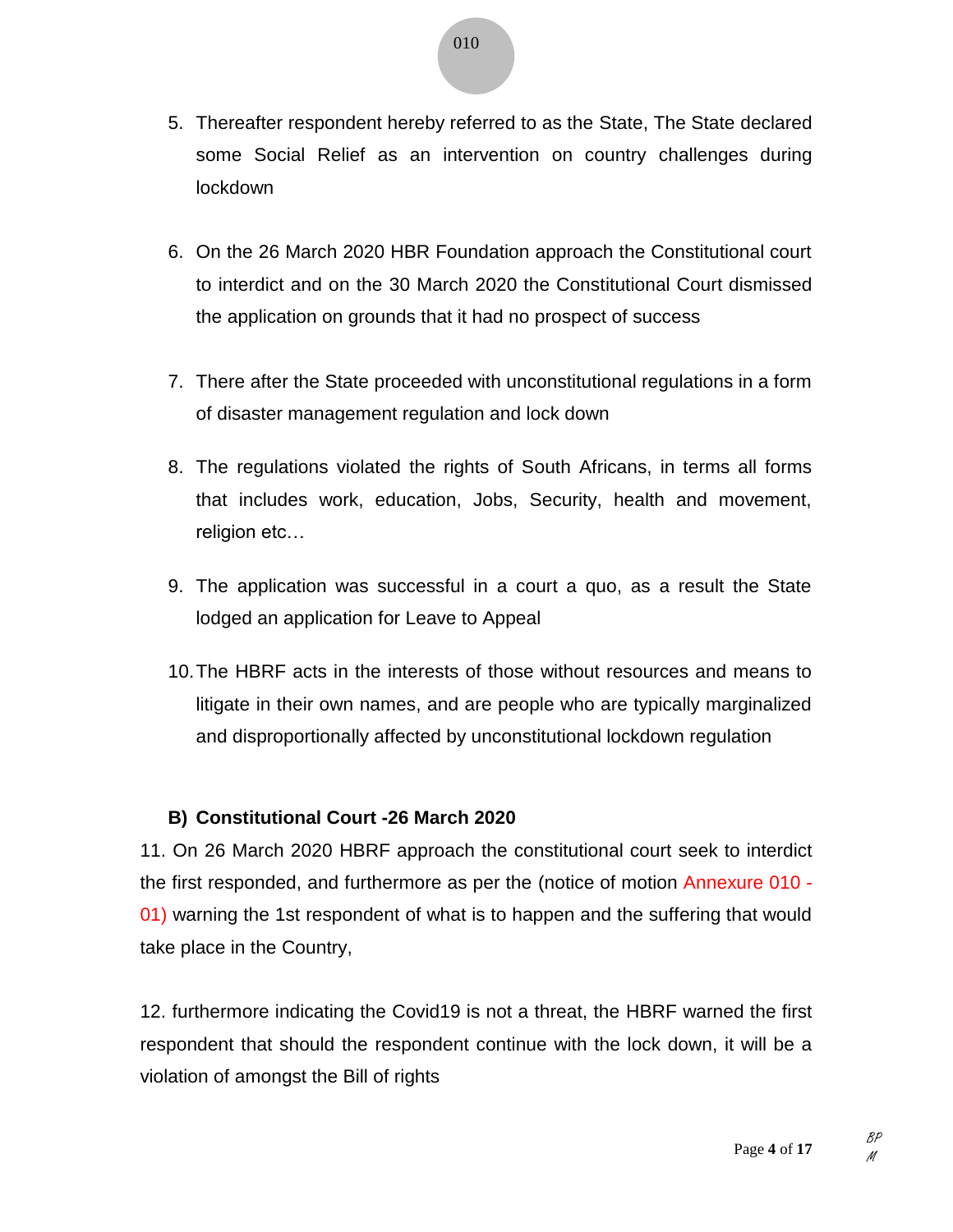- 5. Thereafter respondent hereby referred to as the State, The State declared some Social Relief as an intervention on country challenges during lockdown
- 6. On the 26 March 2020 HBR Foundation approach the Constitutional court to interdict and on the 30 March 2020 the Constitutional Court dismissed the application on grounds that it had no prospect of success
- 7. There after the State proceeded with unconstitutional regulations in a form of disaster management regulation and lock down
- 8. The regulations violated the rights of South Africans, in terms all forms that includes work, education, Jobs, Security, health and movement, religion etc…
- 9. The application was successful in a court a quo, as a result the State lodged an application for Leave to Appeal
- 10.The HBRF acts in the interests of those without resources and means to litigate in their own names, and are people who are typically marginalized and disproportionally affected by unconstitutional lockdown regulation

# **B) Constitutional Court -26 March 2020**

11. On 26 March 2020 HBRF approach the constitutional court seek to interdict the first responded, and furthermore as per the (notice of motion Annexure 010 - 01) warning the 1st respondent of what is to happen and the suffering that would take place in the Country,

12. furthermore indicating the Covid19 is not a threat, the HBRF warned the first respondent that should the respondent continue with the lock down, it will be a violation of amongst the Bill of rights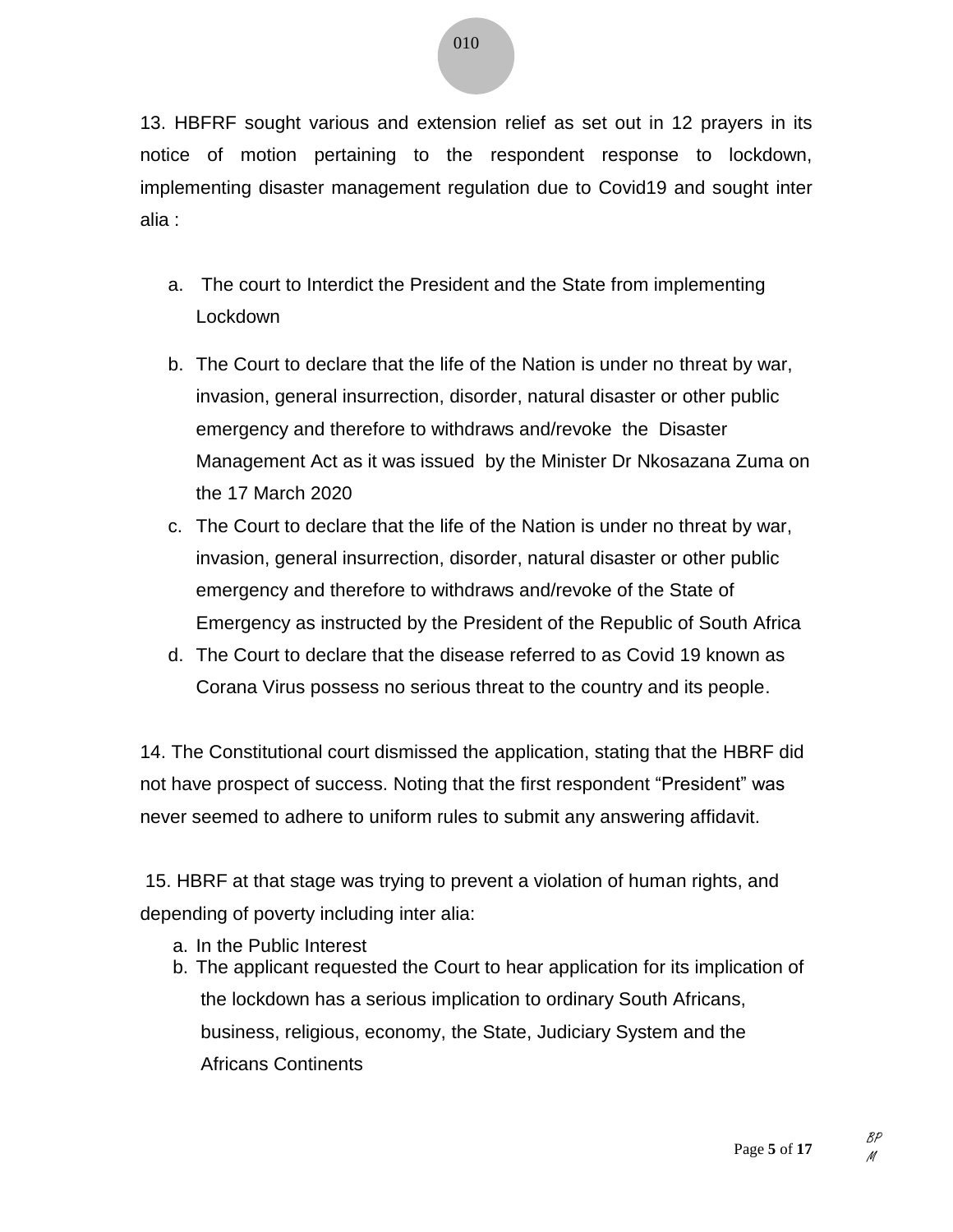13. HBFRF sought various and extension relief as set out in 12 prayers in its notice of motion pertaining to the respondent response to lockdown, implementing disaster management regulation due to Covid19 and sought inter alia :

- a. The court to Interdict the President and the State from implementing Lockdown
- b. The Court to declare that the life of the Nation is under no threat by war, invasion, general insurrection, disorder, natural disaster or other public emergency and therefore to withdraws and/revoke the Disaster Management Act as it was issued by the Minister Dr Nkosazana Zuma on the 17 March 2020
- c. The Court to declare that the life of the Nation is under no threat by war, invasion, general insurrection, disorder, natural disaster or other public emergency and therefore to withdraws and/revoke of the State of Emergency as instructed by the President of the Republic of South Africa
- d. The Court to declare that the disease referred to as Covid 19 known as Corana Virus possess no serious threat to the country and its people.

14. The Constitutional court dismissed the application, stating that the HBRF did not have prospect of success. Noting that the first respondent "President" was never seemed to adhere to uniform rules to submit any answering affidavit.

15. HBRF at that stage was trying to prevent a violation of human rights, and depending of poverty including inter alia:

- a. In the Public Interest
- b. The applicant requested the Court to hear application for its implication of the lockdown has a serious implication to ordinary South Africans, business, religious, economy, the State, Judiciary System and the Africans Continents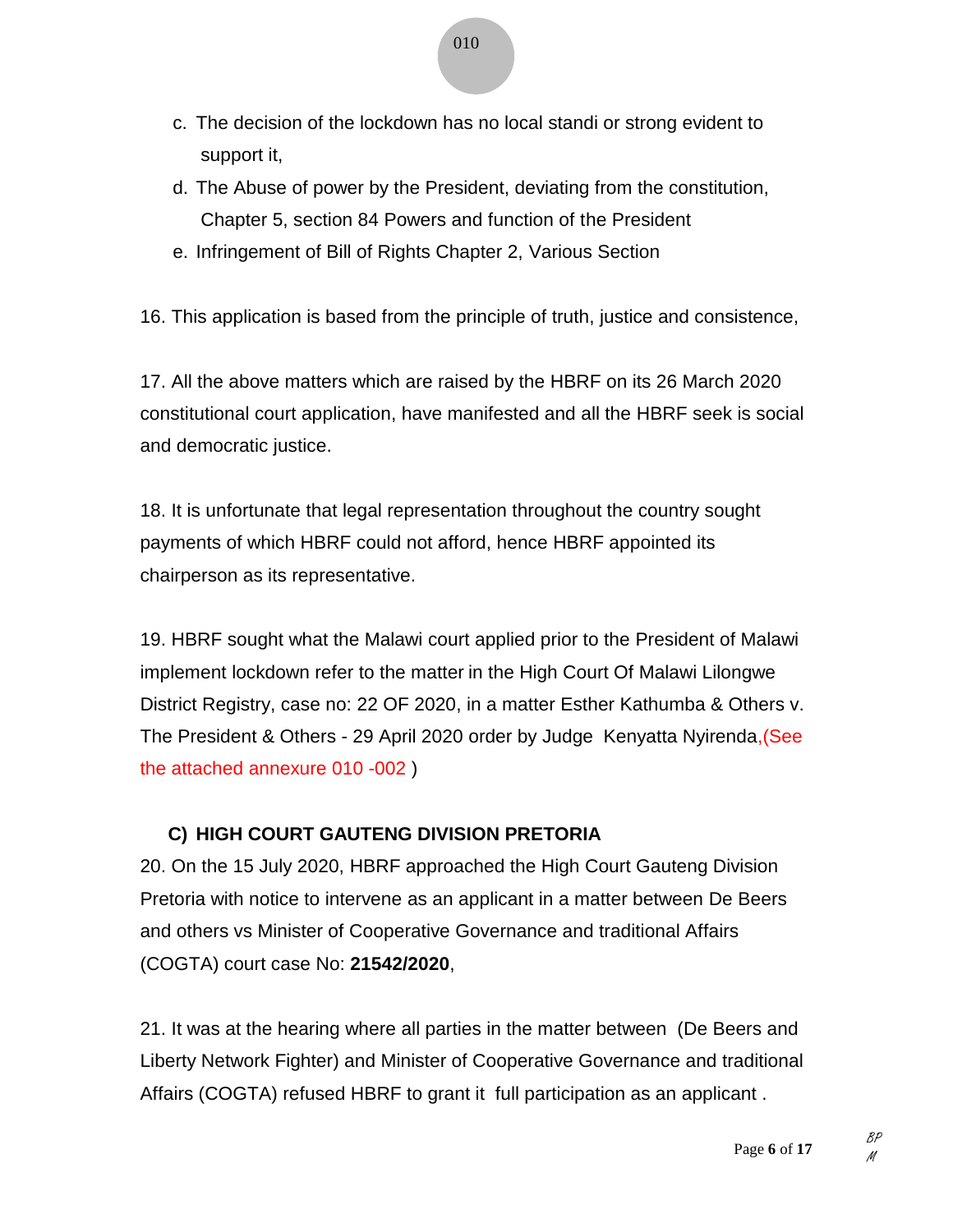- c. The decision of the lockdown has no local standi or strong evident to support it,
- d. The Abuse of power by the President, deviating from the constitution, Chapter 5, section 84 Powers and function of the President
- e. Infringement of Bill of Rights Chapter 2, Various Section

16. This application is based from the principle of truth, justice and consistence,

17. All the above matters which are raised by the HBRF on its 26 March 2020 constitutional court application, have manifested and all the HBRF seek is social and democratic justice.

18. It is unfortunate that legal representation throughout the country sought payments of which HBRF could not afford, hence HBRF appointed its chairperson as its representative.

19. HBRF sought what the Malawi court applied prior to the President of Malawi implement lockdown refer to the matter in the High Court Of Malawi Lilongwe District Registry, case no: 22 OF 2020, in a matter Esther Kathumba & Others v. The President & Others - 29 April 2020 order by Judge Kenyatta Nyirenda,(See the attached annexure 010 -002 )

# **C) HIGH COURT GAUTENG DIVISION PRETORIA**

20. On the 15 July 2020, HBRF approached the High Court Gauteng Division Pretoria with notice to intervene as an applicant in a matter between De Beers and others vs Minister of Cooperative Governance and traditional Affairs (COGTA) court case No: **21542/2020**,

21. It was at the hearing where all parties in the matter between (De Beers and Liberty Network Fighter) and Minister of Cooperative Governance and traditional Affairs (COGTA) refused HBRF to grant it full participation as an applicant .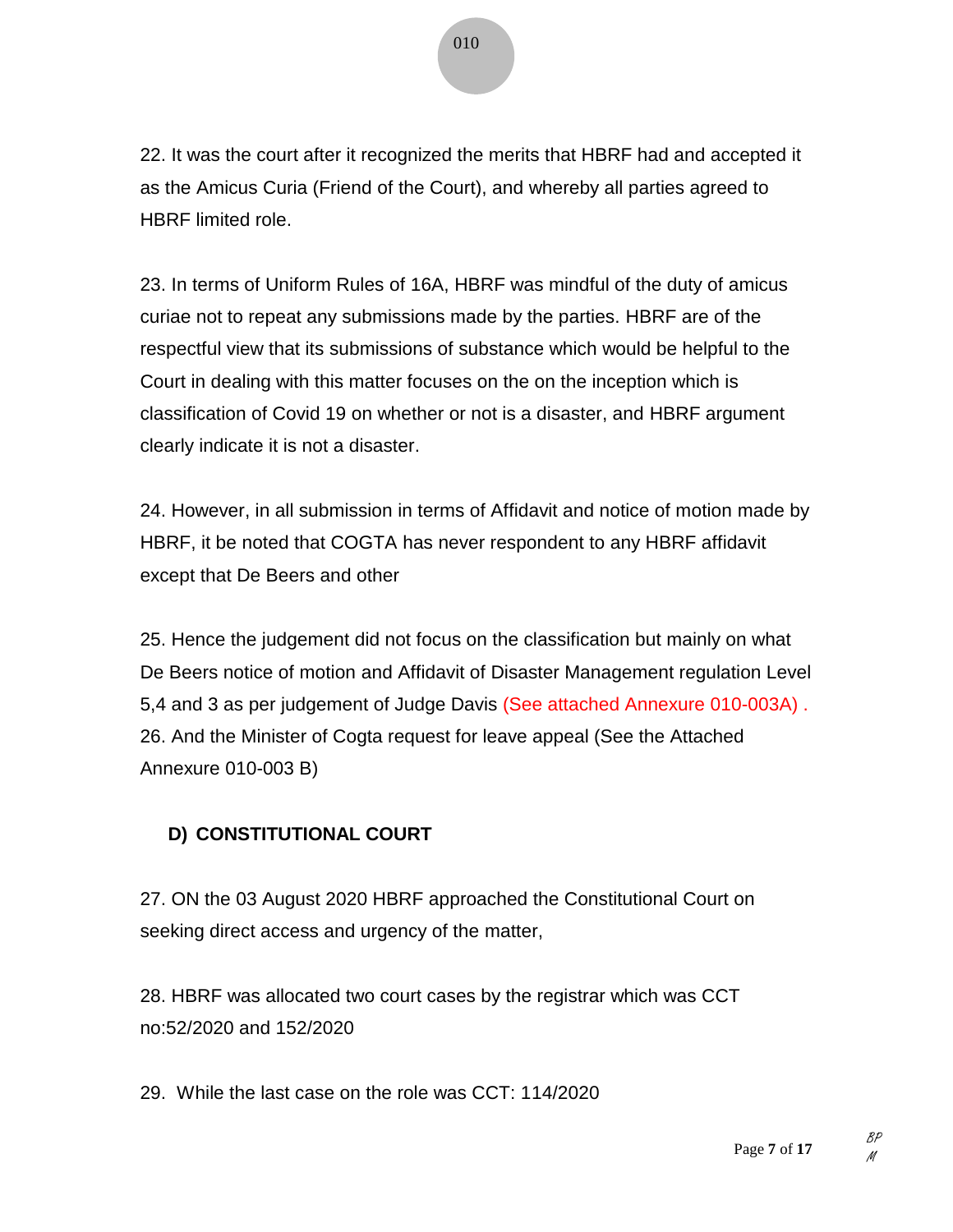22. It was the court after it recognized the merits that HBRF had and accepted it as the Amicus Curia (Friend of the Court), and whereby all parties agreed to HBRF limited role.

23. In terms of Uniform Rules of 16A, HBRF was mindful of the duty of amicus curiae not to repeat any submissions made by the parties. HBRF are of the respectful view that its submissions of substance which would be helpful to the Court in dealing with this matter focuses on the on the inception which is classification of Covid 19 on whether or not is a disaster, and HBRF argument clearly indicate it is not a disaster.

24. However, in all submission in terms of Affidavit and notice of motion made by HBRF, it be noted that COGTA has never respondent to any HBRF affidavit except that De Beers and other

25. Hence the judgement did not focus on the classification but mainly on what De Beers notice of motion and Affidavit of Disaster Management regulation Level 5,4 and 3 as per judgement of Judge Davis (See attached Annexure 010-003A) . 26. And the Minister of Cogta request for leave appeal (See the Attached Annexure 010-003 B)

# **D) CONSTITUTIONAL COURT**

27. ON the 03 August 2020 HBRF approached the Constitutional Court on seeking direct access and urgency of the matter,

28. HBRF was allocated two court cases by the registrar which was CCT no:52/2020 and 152/2020

29. While the last case on the role was CCT: 114/2020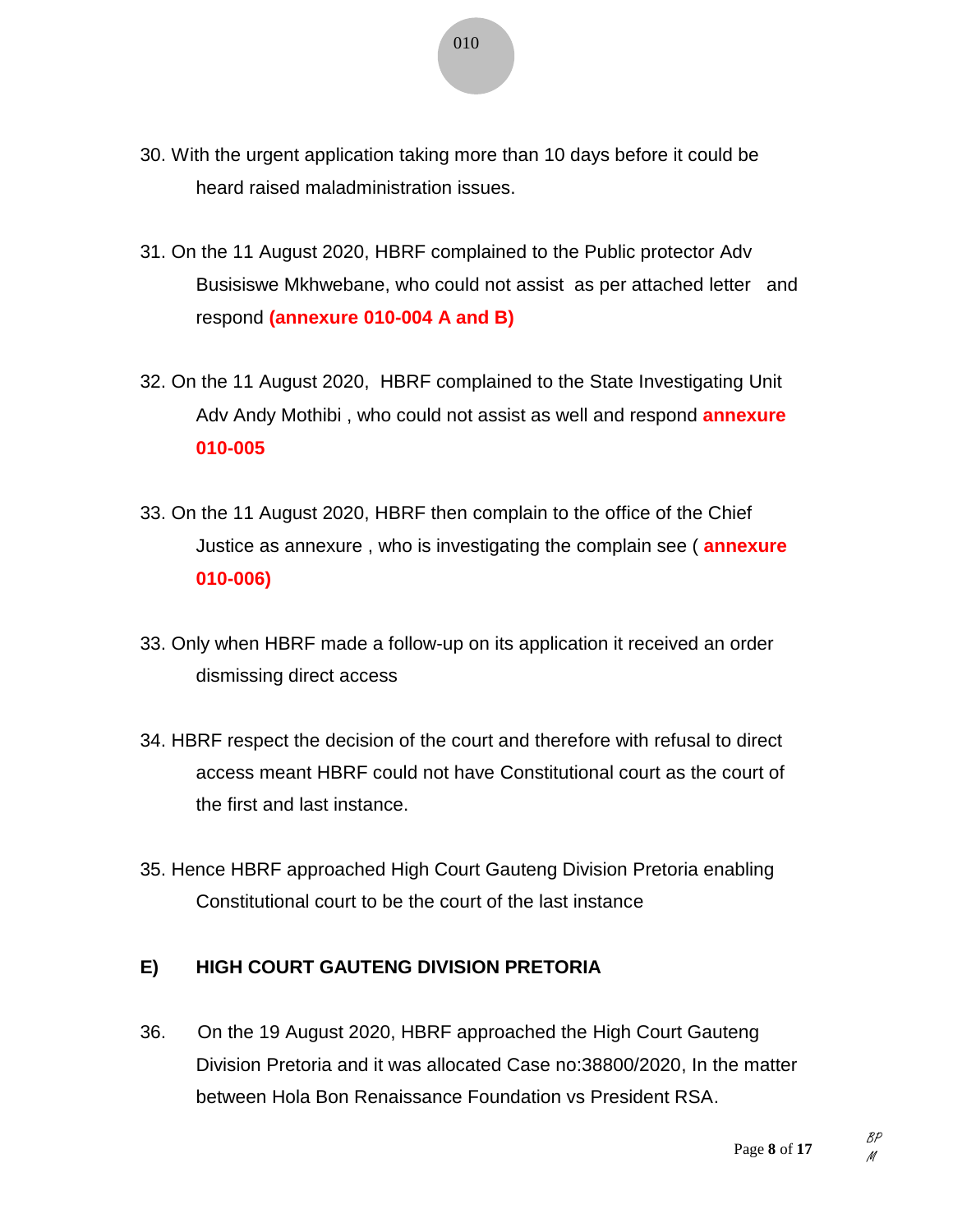- 30. With the urgent application taking more than 10 days before it could be heard raised maladministration issues.
- 31. On the 11 August 2020, HBRF complained to the Public protector Adv Busisiswe Mkhwebane, who could not assist as per attached letter and respond **(annexure 010-004 A and B)**
- 32. On the 11 August 2020, HBRF complained to the State Investigating Unit Adv Andy Mothibi , who could not assist as well and respond **annexure 010-005**
- 33. On the 11 August 2020, HBRF then complain to the office of the Chief Justice as annexure , who is investigating the complain see ( **annexure 010-006)**
- 33. Only when HBRF made a follow-up on its application it received an order dismissing direct access
- 34. HBRF respect the decision of the court and therefore with refusal to direct access meant HBRF could not have Constitutional court as the court of the first and last instance.
- 35. Hence HBRF approached High Court Gauteng Division Pretoria enabling Constitutional court to be the court of the last instance

# **E) HIGH COURT GAUTENG DIVISION PRETORIA**

36. On the 19 August 2020, HBRF approached the High Court Gauteng Division Pretoria and it was allocated Case no:38800/2020, In the matter between Hola Bon Renaissance Foundation vs President RSA.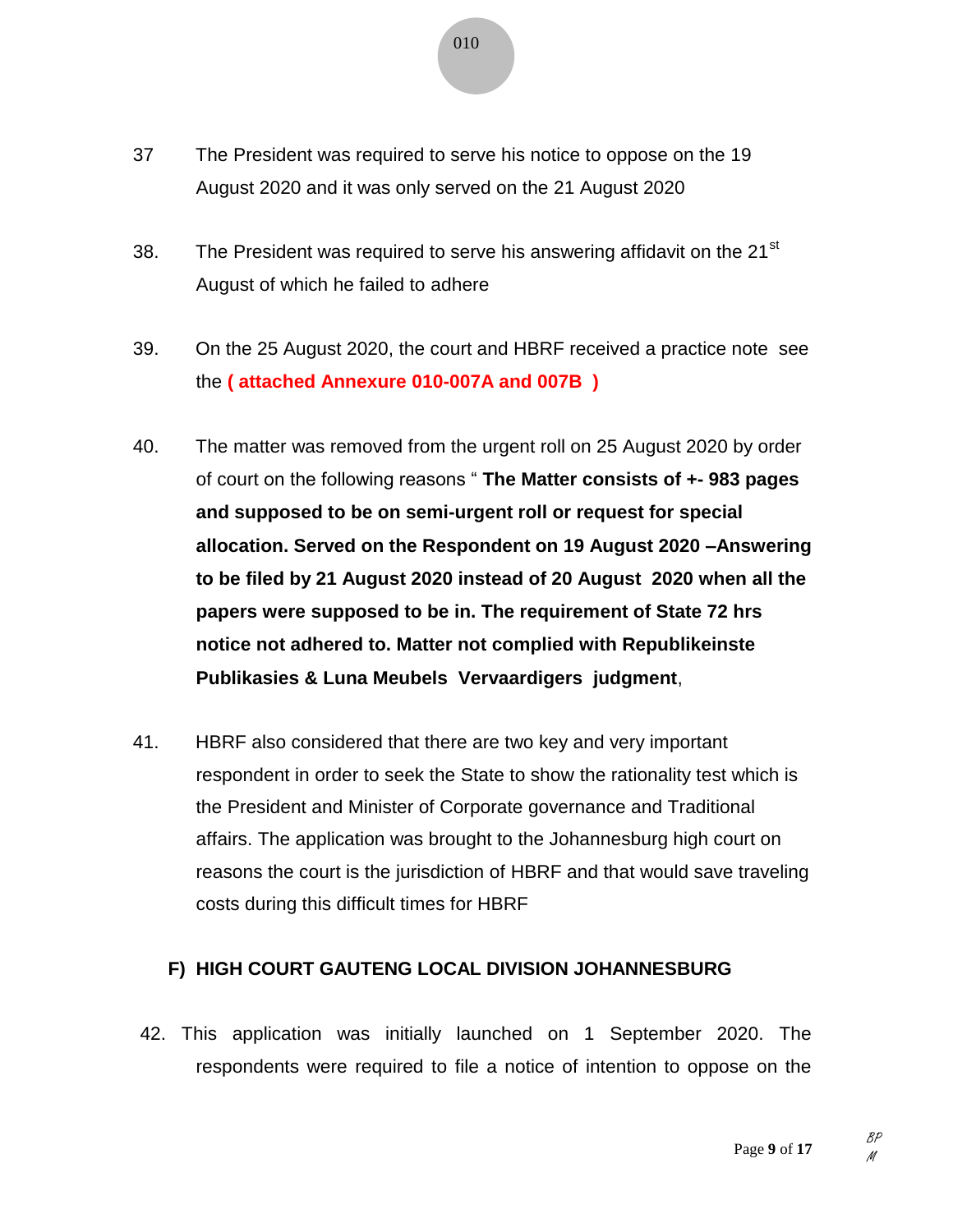- 37 The President was required to serve his notice to oppose on the 19 August 2020 and it was only served on the 21 August 2020
- 38. The President was required to serve his answering affidavit on the  $21<sup>st</sup>$ August of which he failed to adhere
- 39. On the 25 August 2020, the court and HBRF received a practice note see the **( attached Annexure 010-007A and 007B )**
- 40. The matter was removed from the urgent roll on 25 August 2020 by order of court on the following reasons " **The Matter consists of +- 983 pages and supposed to be on semi-urgent roll or request for special allocation. Served on the Respondent on 19 August 2020 –Answering to be filed by 21 August 2020 instead of 20 August 2020 when all the papers were supposed to be in. The requirement of State 72 hrs notice not adhered to. Matter not complied with Republikeinste Publikasies & Luna Meubels Vervaardigers judgment**,
- 41. HBRF also considered that there are two key and very important respondent in order to seek the State to show the rationality test which is the President and Minister of Corporate governance and Traditional affairs. The application was brought to the Johannesburg high court on reasons the court is the jurisdiction of HBRF and that would save traveling costs during this difficult times for HBRF

### **F) HIGH COURT GAUTENG LOCAL DIVISION JOHANNESBURG**

42. This application was initially launched on 1 September 2020. The respondents were required to file a notice of intention to oppose on the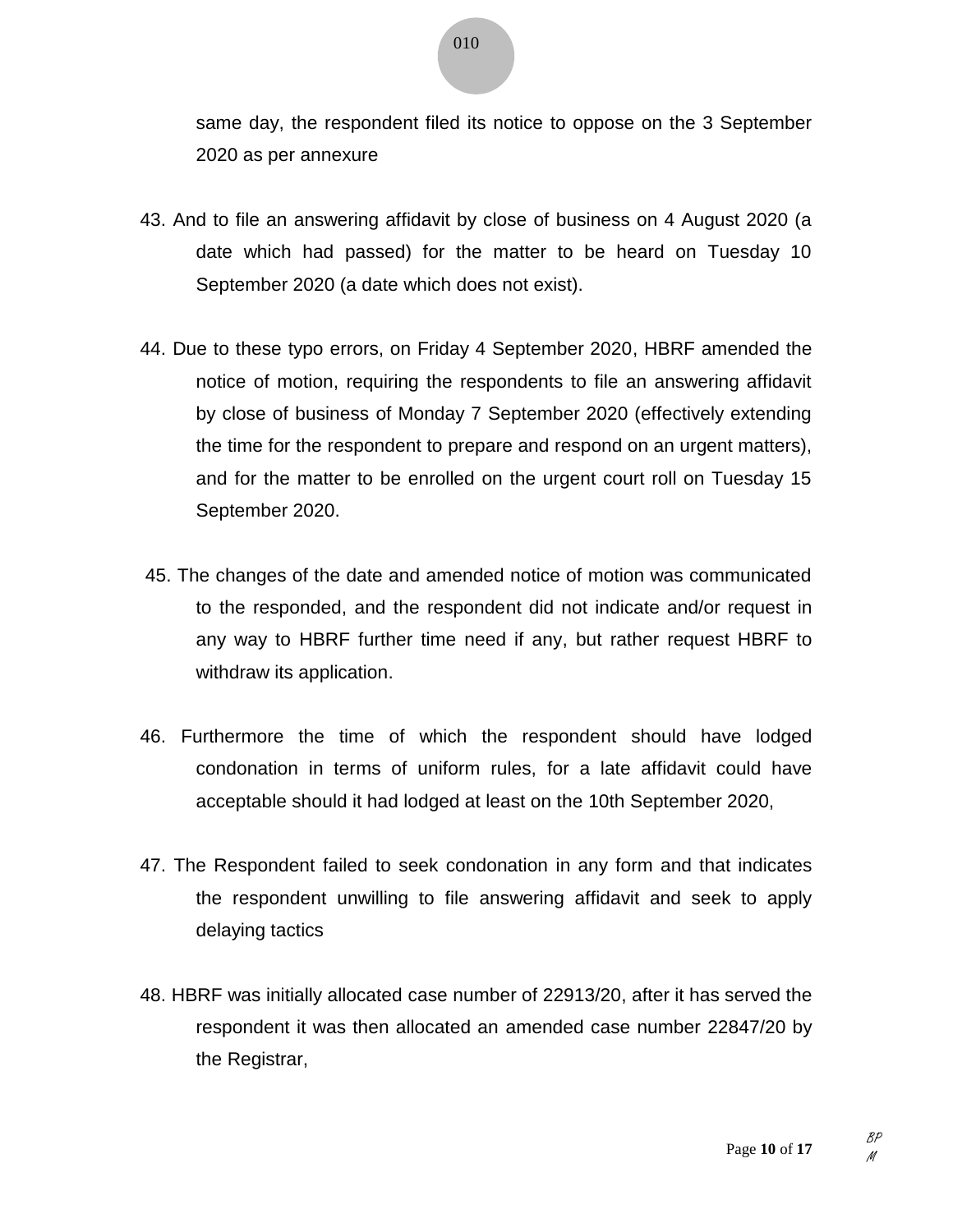same day, the respondent filed its notice to oppose on the 3 September 2020 as per annexure

- 43. And to file an answering affidavit by close of business on 4 August 2020 (a date which had passed) for the matter to be heard on Tuesday 10 September 2020 (a date which does not exist).
- 44. Due to these typo errors, on Friday 4 September 2020, HBRF amended the notice of motion, requiring the respondents to file an answering affidavit by close of business of Monday 7 September 2020 (effectively extending the time for the respondent to prepare and respond on an urgent matters), and for the matter to be enrolled on the urgent court roll on Tuesday 15 September 2020.
- 45. The changes of the date and amended notice of motion was communicated to the responded, and the respondent did not indicate and/or request in any way to HBRF further time need if any, but rather request HBRF to withdraw its application.
- 46. Furthermore the time of which the respondent should have lodged condonation in terms of uniform rules, for a late affidavit could have acceptable should it had lodged at least on the 10th September 2020,
- 47. The Respondent failed to seek condonation in any form and that indicates the respondent unwilling to file answering affidavit and seek to apply delaying tactics
- 48. HBRF was initially allocated case number of 22913/20, after it has served the respondent it was then allocated an amended case number 22847/20 by the Registrar,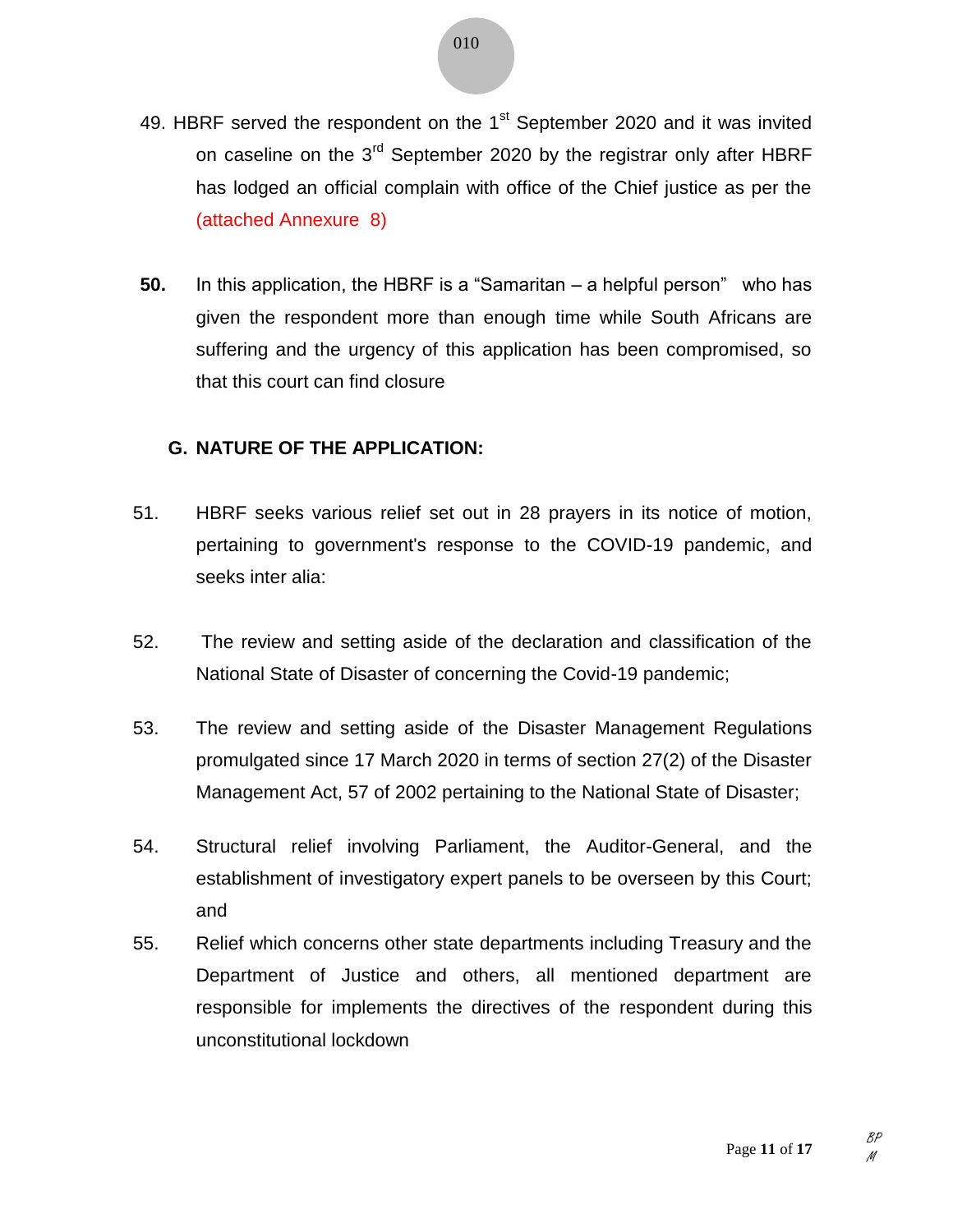- 49. HBRF served the respondent on the  $1<sup>st</sup>$  September 2020 and it was invited on caseline on the 3<sup>rd</sup> September 2020 by the registrar only after HBRF has lodged an official complain with office of the Chief justice as per the (attached Annexure 8)
- **50.** In this application, the HBRF is a "Samaritan a helpful person" who has given the respondent more than enough time while South Africans are suffering and the urgency of this application has been compromised, so that this court can find closure

#### **G. NATURE OF THE APPLICATION:**

- 51. HBRF seeks various relief set out in 28 prayers in its notice of motion, pertaining to government's response to the COVID-19 pandemic, and seeks inter alia:
- 52. The review and setting aside of the declaration and classification of the National State of Disaster of concerning the Covid-19 pandemic;
- 53. The review and setting aside of the Disaster Management Regulations promulgated since 17 March 2020 in terms of section 27(2) of the Disaster Management Act, 57 of 2002 pertaining to the National State of Disaster;
- 54. Structural relief involving Parliament, the Auditor-General, and the establishment of investigatory expert panels to be overseen by this Court; and
- 55. Relief which concerns other state departments including Treasury and the Department of Justice and others, all mentioned department are responsible for implements the directives of the respondent during this unconstitutional lockdown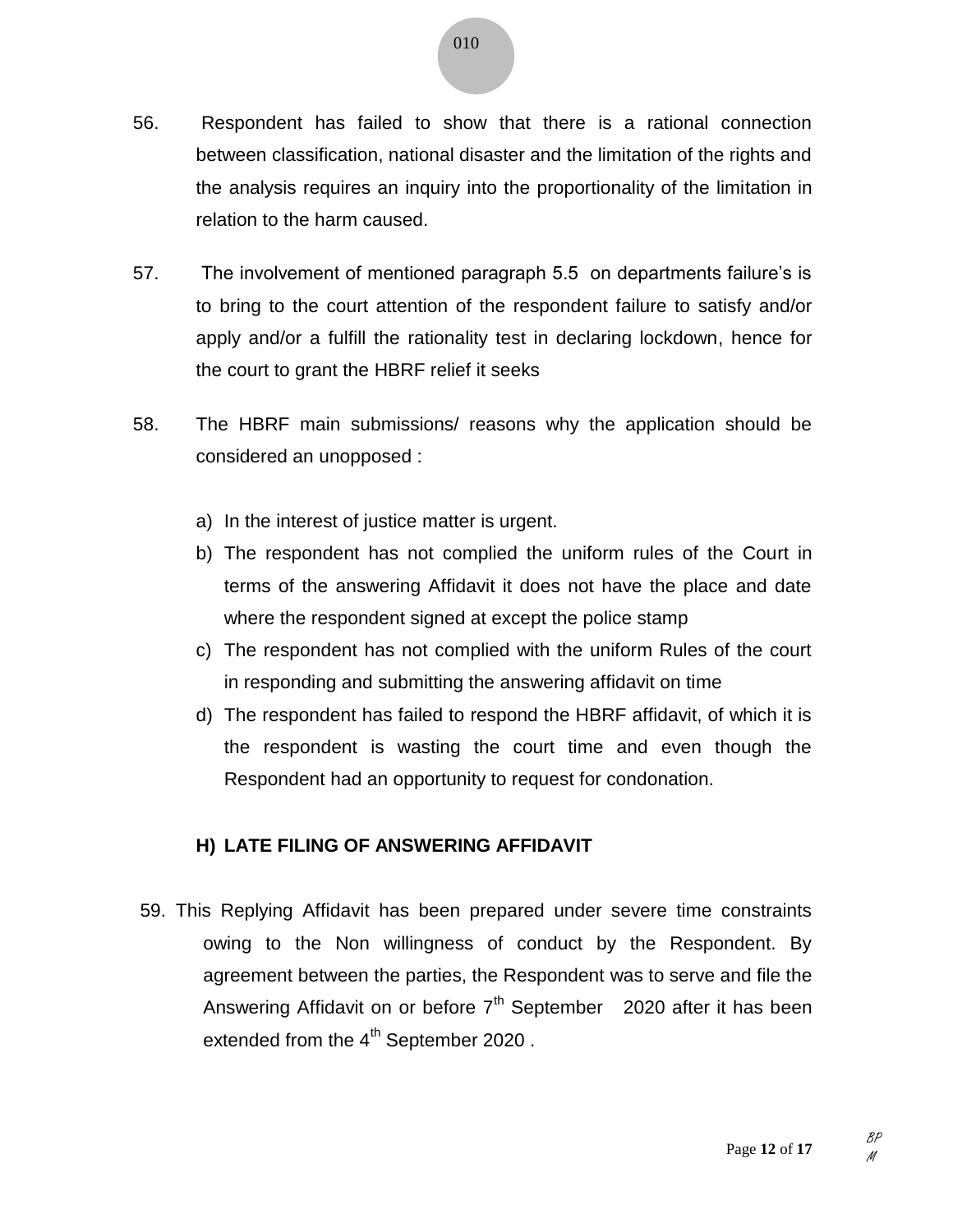010

- 56. Respondent has failed to show that there is a rational connection between classification, national disaster and the limitation of the rights and the analysis requires an inquiry into the proportionality of the limitation in relation to the harm caused.
- 57. The involvement of mentioned paragraph 5.5 on departments failure's is to bring to the court attention of the respondent failure to satisfy and/or apply and/or a fulfill the rationality test in declaring lockdown, hence for the court to grant the HBRF relief it seeks
- 58. The HBRF main submissions/ reasons why the application should be considered an unopposed :
	- a) In the interest of justice matter is urgent.
	- b) The respondent has not complied the uniform rules of the Court in terms of the answering Affidavit it does not have the place and date where the respondent signed at except the police stamp
	- c) The respondent has not complied with the uniform Rules of the court in responding and submitting the answering affidavit on time
	- d) The respondent has failed to respond the HBRF affidavit, of which it is the respondent is wasting the court time and even though the Respondent had an opportunity to request for condonation.

### **H) LATE FILING OF ANSWERING AFFIDAVIT**

59. This Replying Affidavit has been prepared under severe time constraints owing to the Non willingness of conduct by the Respondent. By agreement between the parties, the Respondent was to serve and file the Answering Affidavit on or before  $7<sup>th</sup>$  September 2020 after it has been extended from the  $4<sup>th</sup>$  September 2020.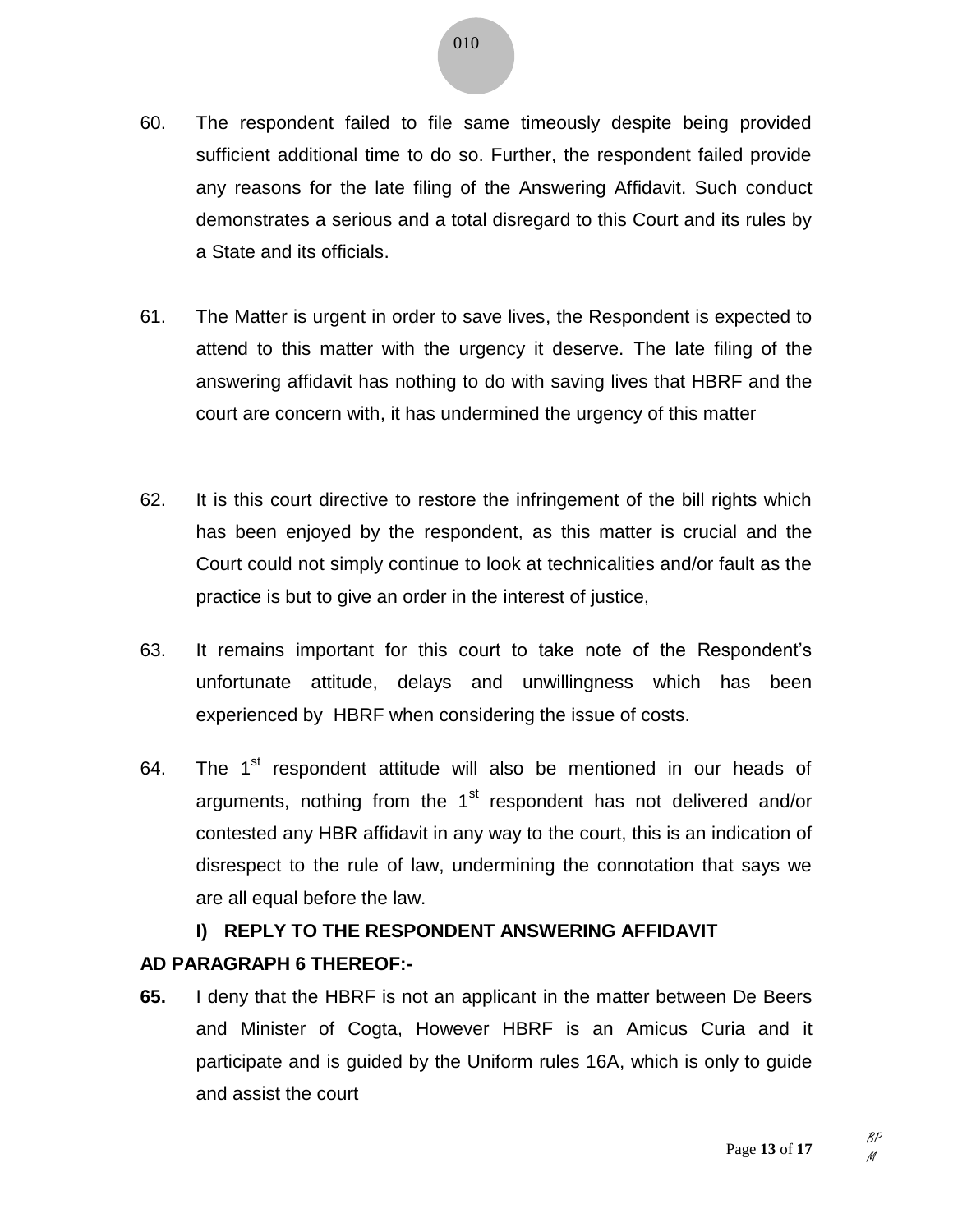- 60. The respondent failed to file same timeously despite being provided sufficient additional time to do so. Further, the respondent failed provide any reasons for the late filing of the Answering Affidavit. Such conduct demonstrates a serious and a total disregard to this Court and its rules by a State and its officials.
- 61. The Matter is urgent in order to save lives, the Respondent is expected to attend to this matter with the urgency it deserve. The late filing of the answering affidavit has nothing to do with saving lives that HBRF and the court are concern with, it has undermined the urgency of this matter
- 62. It is this court directive to restore the infringement of the bill rights which has been enjoyed by the respondent, as this matter is crucial and the Court could not simply continue to look at technicalities and/or fault as the practice is but to give an order in the interest of justice,
- 63. It remains important for this court to take note of the Respondent's unfortunate attitude, delays and unwillingness which has been experienced by HBRF when considering the issue of costs.
- 64. The  $1<sup>st</sup>$  respondent attitude will also be mentioned in our heads of arguments, nothing from the  $1<sup>st</sup>$  respondent has not delivered and/or contested any HBR affidavit in any way to the court, this is an indication of disrespect to the rule of law, undermining the connotation that says we are all equal before the law.

# **I) REPLY TO THE RESPONDENT ANSWERING AFFIDAVIT**

# **AD PARAGRAPH 6 THEREOF:-**

**65.** I deny that the HBRF is not an applicant in the matter between De Beers and Minister of Cogta, However HBRF is an Amicus Curia and it participate and is guided by the Uniform rules 16A, which is only to guide and assist the court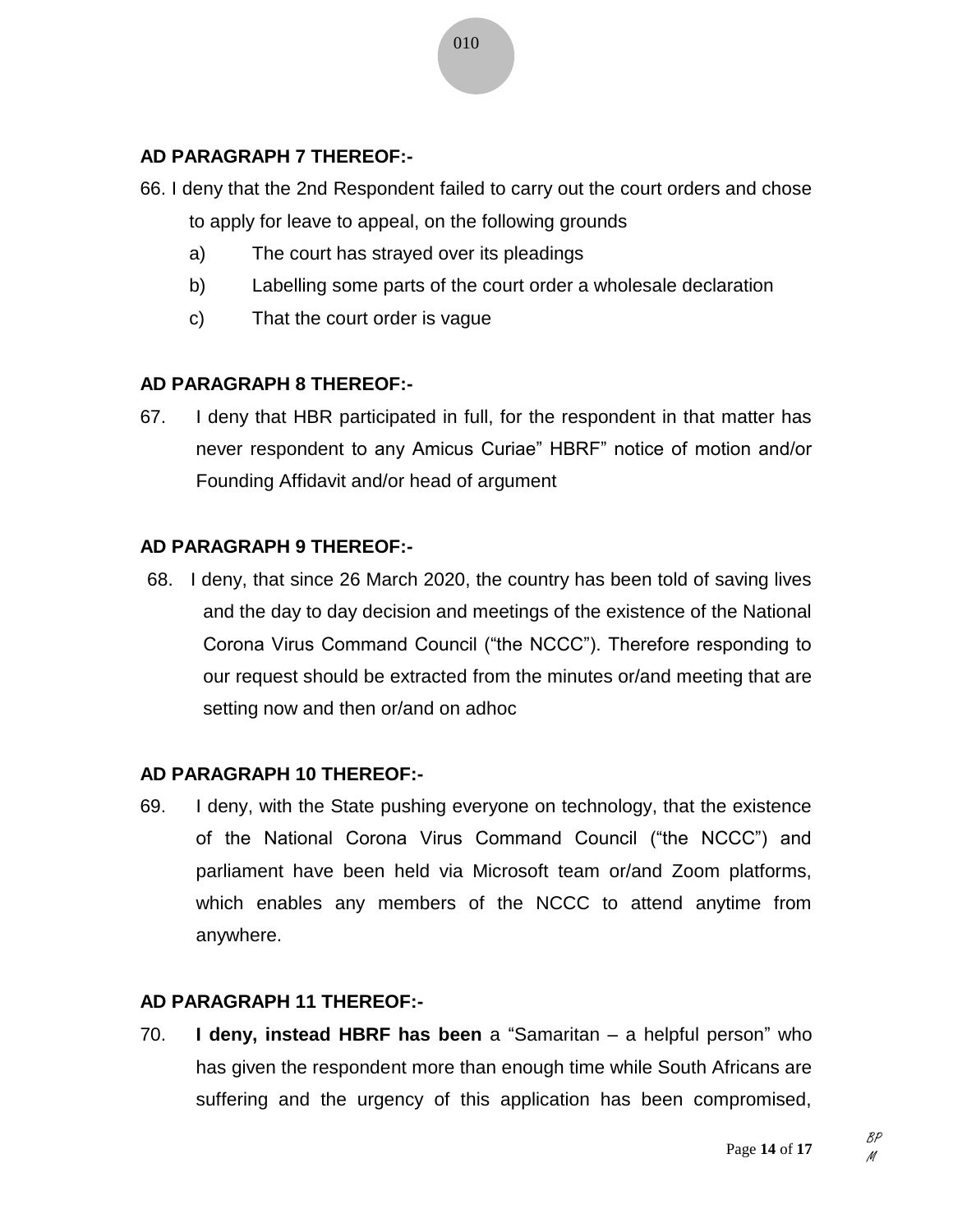## **AD PARAGRAPH 7 THEREOF:-**

- 66. I deny that the 2nd Respondent failed to carry out the court orders and chose to apply for leave to appeal, on the following grounds
	- a) The court has strayed over its pleadings
	- b) Labelling some parts of the court order a wholesale declaration
	- c) That the court order is vague

### **AD PARAGRAPH 8 THEREOF:-**

67. I deny that HBR participated in full, for the respondent in that matter has never respondent to any Amicus Curiae" HBRF" notice of motion and/or Founding Affidavit and/or head of argument

#### **AD PARAGRAPH 9 THEREOF:-**

68. I deny, that since 26 March 2020, the country has been told of saving lives and the day to day decision and meetings of the existence of the National Corona Virus Command Council ("the NCCC"). Therefore responding to our request should be extracted from the minutes or/and meeting that are setting now and then or/and on adhoc

### **AD PARAGRAPH 10 THEREOF:-**

69. I deny, with the State pushing everyone on technology, that the existence of the National Corona Virus Command Council ("the NCCC") and parliament have been held via Microsoft team or/and Zoom platforms, which enables any members of the NCCC to attend anytime from anywhere.

#### **AD PARAGRAPH 11 THEREOF:-**

70. **I deny, instead HBRF has been** a "Samaritan – a helpful person" who has given the respondent more than enough time while South Africans are suffering and the urgency of this application has been compromised,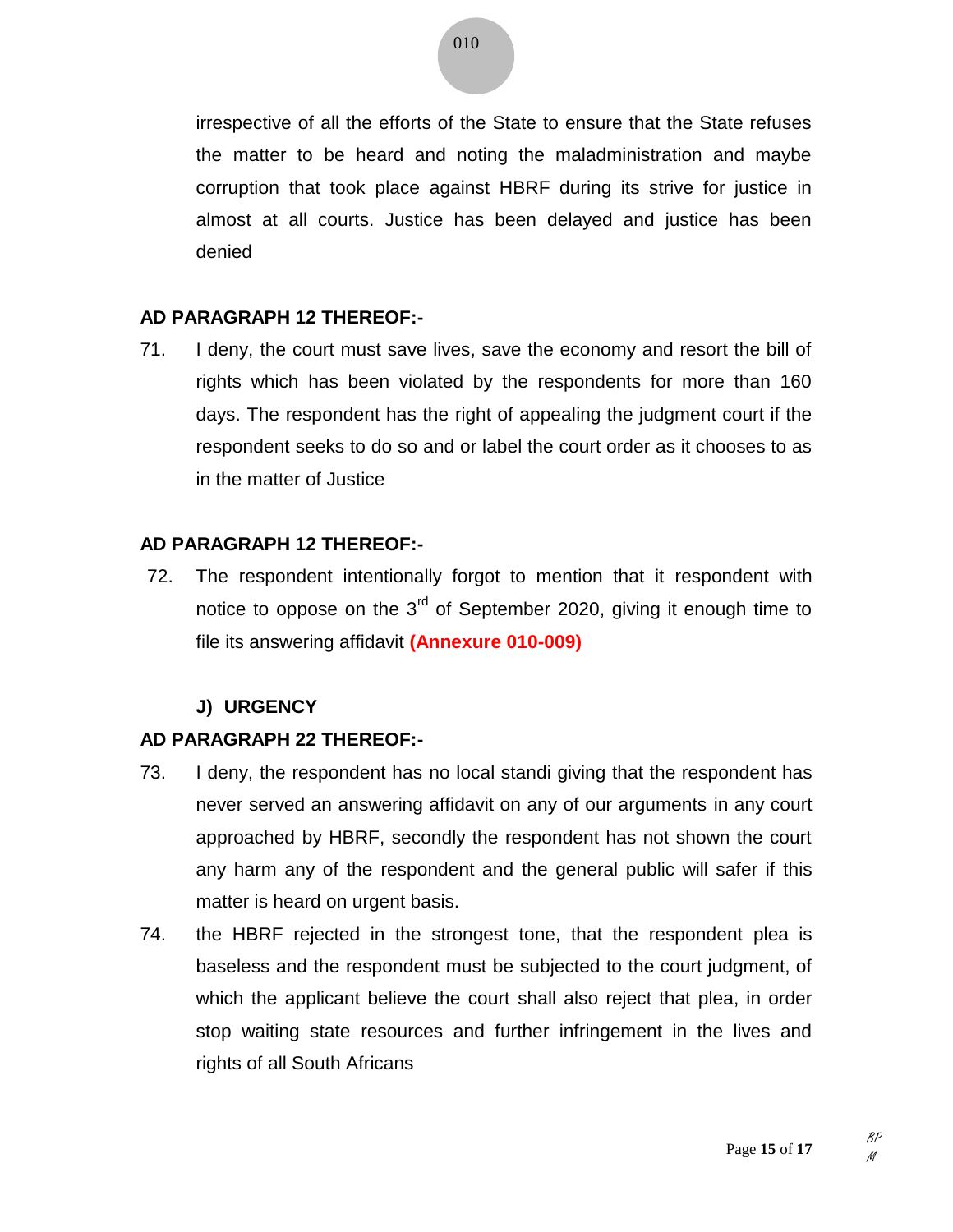irrespective of all the efforts of the State to ensure that the State refuses the matter to be heard and noting the maladministration and maybe corruption that took place against HBRF during its strive for justice in almost at all courts. Justice has been delayed and justice has been denied

#### **AD PARAGRAPH 12 THEREOF:-**

71. I deny, the court must save lives, save the economy and resort the bill of rights which has been violated by the respondents for more than 160 days. The respondent has the right of appealing the judgment court if the respondent seeks to do so and or label the court order as it chooses to as in the matter of Justice

#### **AD PARAGRAPH 12 THEREOF:-**

72. The respondent intentionally forgot to mention that it respondent with notice to oppose on the  $3<sup>rd</sup>$  of September 2020, giving it enough time to file its answering affidavit **(Annexure 010-009)**

### **J) URGENCY**

### **AD PARAGRAPH 22 THEREOF:-**

- 73. I deny, the respondent has no local standi giving that the respondent has never served an answering affidavit on any of our arguments in any court approached by HBRF, secondly the respondent has not shown the court any harm any of the respondent and the general public will safer if this matter is heard on urgent basis.
- 74. the HBRF rejected in the strongest tone, that the respondent plea is baseless and the respondent must be subjected to the court judgment, of which the applicant believe the court shall also reject that plea, in order stop waiting state resources and further infringement in the lives and rights of all South Africans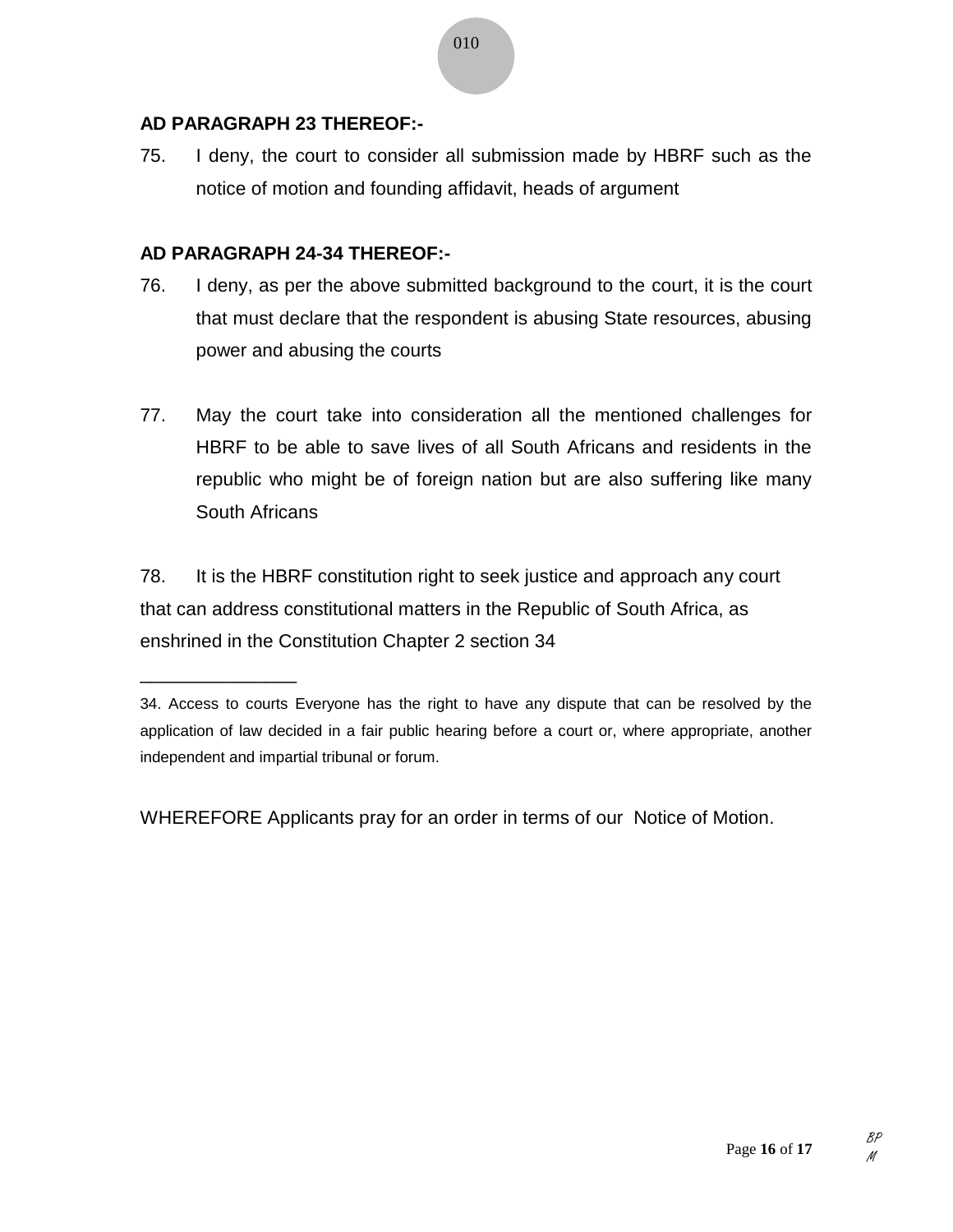#### **AD PARAGRAPH 23 THEREOF:-**

75. I deny, the court to consider all submission made by HBRF such as the notice of motion and founding affidavit, heads of argument

#### **AD PARAGRAPH 24-34 THEREOF:-**

\_\_\_\_\_\_\_\_\_\_\_\_\_\_\_

- 76. I deny, as per the above submitted background to the court, it is the court that must declare that the respondent is abusing State resources, abusing power and abusing the courts
- 77. May the court take into consideration all the mentioned challenges for HBRF to be able to save lives of all South Africans and residents in the republic who might be of foreign nation but are also suffering like many South Africans

78. It is the HBRF constitution right to seek justice and approach any court that can address constitutional matters in the Republic of South Africa, as enshrined in the Constitution Chapter 2 section 34

WHEREFORE Applicants pray for an order in terms of our Notice of Motion.

<sup>34.</sup> Access to courts Everyone has the right to have any dispute that can be resolved by the application of law decided in a fair public hearing before a court or, where appropriate, another independent and impartial tribunal or forum.